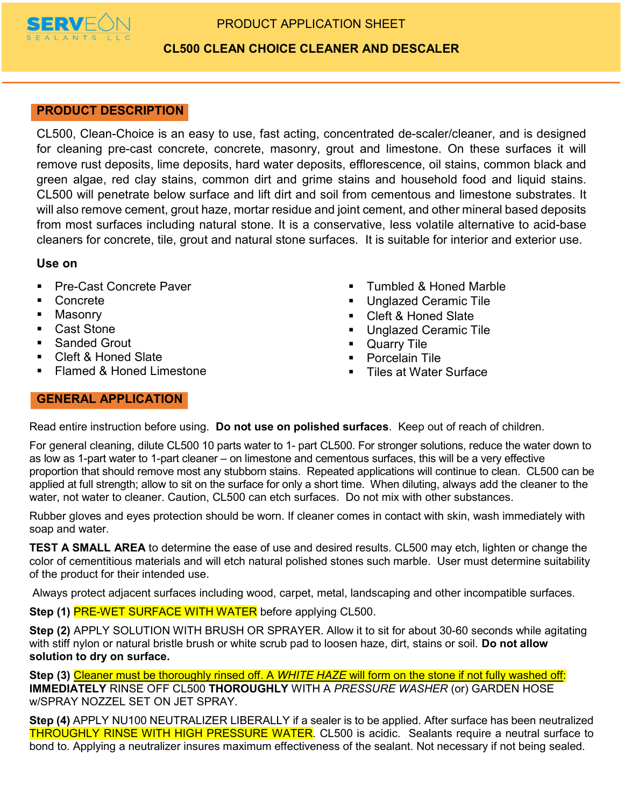

# PRODUCT APPLICATION SHEET

# CL500 CLEAN CHOICE CLEANER AND DESCALER

## PRODUCT DESCRIPTION

CL500, Clean-Choice is an easy to use, fast acting, concentrated de-scaler/cleaner, and is designed for cleaning pre-cast concrete, concrete, masonry, grout and limestone. On these surfaces it will remove rust deposits, lime deposits, hard water deposits, efflorescence, oil stains, common black and green algae, red clay stains, common dirt and grime stains and household food and liquid stains. CL500 will penetrate below surface and lift dirt and soil from cementous and limestone substrates. It will also remove cement, grout haze, mortar residue and joint cement, and other mineral based deposits from most surfaces including natural stone. It is a conservative, less volatile alternative to acid-base cleaners for concrete, tile, grout and natural stone surfaces. It is suitable for interior and exterior use.

### Use on

- **Pre-Cast Concrete Paver**
- Concrete
- **Masonry**
- Cast Stone
- Sanded Grout
- Cleft & Honed Slate
- Flamed & Honed Limestone
- **Tumbled & Honed Marble**
- Unglazed Ceramic Tile
- Cleft & Honed Slate
- **Unglazed Ceramic Tile**
- **Quarry Tile**
- Porcelain Tile
- Tiles at Water Surface

## GENERAL APPLICATION

Read entire instruction before using. Do not use on polished surfaces. Keep out of reach of children.

For general cleaning, dilute CL500 10 parts water to 1- part CL500. For stronger solutions, reduce the water down to as low as 1-part water to 1-part cleaner – on limestone and cementous surfaces, this will be a very effective proportion that should remove most any stubborn stains. Repeated applications will continue to clean. CL500 can be applied at full strength; allow to sit on the surface for only a short time. When diluting, always add the cleaner to the water, not water to cleaner. Caution, CL500 can etch surfaces. Do not mix with other substances.

Rubber gloves and eyes protection should be worn. If cleaner comes in contact with skin, wash immediately with soap and water.

**TEST A SMALL AREA** to determine the ease of use and desired results. CL500 may etch, lighten or change the color of cementitious materials and will etch natural polished stones such marble. User must determine suitability of the product for their intended use.

Always protect adjacent surfaces including wood, carpet, metal, landscaping and other incompatible surfaces.

Step (1) PRE-WET SURFACE WITH WATER before applying CL500.

Step (2) APPLY SOLUTION WITH BRUSH OR SPRAYER. Allow it to sit for about 30-60 seconds while agitating with stiff nylon or natural bristle brush or white scrub pad to loosen haze, dirt, stains or soil. Do not allow solution to dry on surface.

Step (3) Cleaner must be thoroughly rinsed off. A WHITE HAZE will form on the stone if not fully washed off: IMMEDIATELY RINSE OFF CL500 THOROUGHLY WITH A PRESSURE WASHER (or) GARDEN HOSE w/SPRAY NOZZEL SET ON JET SPRAY.

Step (4) APPLY NU100 NEUTRALIZER LIBERALLY if a sealer is to be applied. After surface has been neutralized THROUGHLY RINSE WITH HIGH PRESSURE WATER. CL500 is acidic. Sealants require a neutral surface to bond to. Applying a neutralizer insures maximum effectiveness of the sealant. Not necessary if not being sealed.